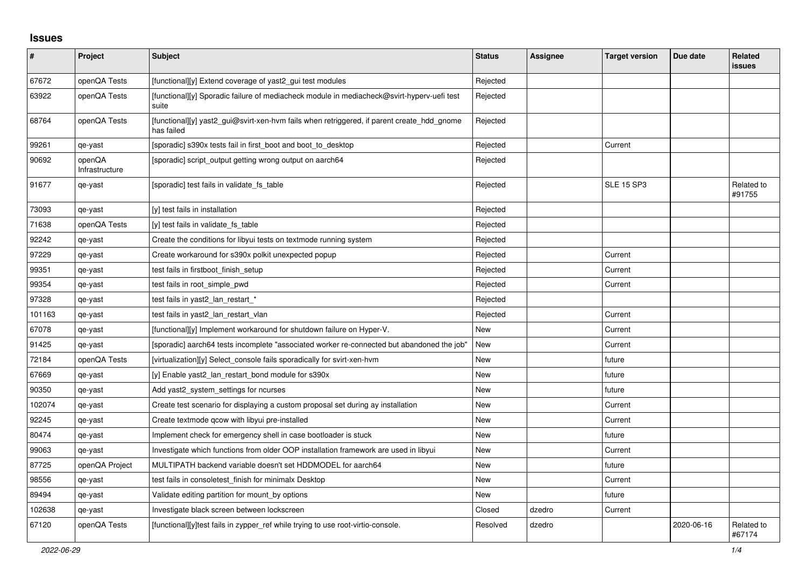## **Issues**

| #      | <b>Project</b>           | <b>Subject</b>                                                                                           | <b>Status</b> | <b>Assignee</b> | <b>Target version</b> | Due date   | <b>Related</b><br><b>issues</b> |
|--------|--------------------------|----------------------------------------------------------------------------------------------------------|---------------|-----------------|-----------------------|------------|---------------------------------|
| 67672  | openQA Tests             | [functional][y] Extend coverage of yast2_gui test modules                                                | Rejected      |                 |                       |            |                                 |
| 63922  | openQA Tests             | [functional][y] Sporadic failure of mediacheck module in mediacheck@svirt-hyperv-uefi test<br>suite      | Rejected      |                 |                       |            |                                 |
| 68764  | openQA Tests             | [functional][y] yast2_gui@svirt-xen-hvm fails when retriggered, if parent create_hdd_gnome<br>has failed | Rejected      |                 |                       |            |                                 |
| 99261  | qe-yast                  | [sporadic] s390x tests fail in first_boot and boot_to_desktop                                            | Rejected      |                 | Current               |            |                                 |
| 90692  | openQA<br>Infrastructure | [sporadic] script_output getting wrong output on aarch64                                                 | Rejected      |                 |                       |            |                                 |
| 91677  | qe-yast                  | [sporadic] test fails in validate_fs_table                                                               | Rejected      |                 | <b>SLE 15 SP3</b>     |            | Related to<br>#91755            |
| 73093  | qe-yast                  | [y] test fails in installation                                                                           | Rejected      |                 |                       |            |                                 |
| 71638  | openQA Tests             | [y] test fails in validate fs table                                                                      | Rejected      |                 |                       |            |                                 |
| 92242  | qe-yast                  | Create the conditions for libyui tests on textmode running system                                        | Rejected      |                 |                       |            |                                 |
| 97229  | qe-yast                  | Create workaround for s390x polkit unexpected popup                                                      | Rejected      |                 | Current               |            |                                 |
| 99351  | qe-yast                  | test fails in firstboot_finish_setup                                                                     | Rejected      |                 | Current               |            |                                 |
| 99354  | qe-yast                  | test fails in root_simple_pwd                                                                            | Rejected      |                 | Current               |            |                                 |
| 97328  | qe-yast                  | test fails in yast2_lan_restart_*                                                                        | Rejected      |                 |                       |            |                                 |
| 101163 | qe-yast                  | test fails in yast2 Ian restart vlan                                                                     | Rejected      |                 | Current               |            |                                 |
| 67078  | qe-yast                  | [functional][y] Implement workaround for shutdown failure on Hyper-V.                                    | New           |                 | Current               |            |                                 |
| 91425  | qe-yast                  | [sporadic] aarch64 tests incomplete "associated worker re-connected but abandoned the job"               | <b>New</b>    |                 | Current               |            |                                 |
| 72184  | openQA Tests             | [virtualization][y] Select_console fails sporadically for svirt-xen-hvm                                  | New           |                 | future                |            |                                 |
| 67669  | qe-yast                  | [y] Enable yast2_lan_restart_bond module for s390x                                                       | <b>New</b>    |                 | future                |            |                                 |
| 90350  | qe-yast                  | Add yast2_system_settings for ncurses                                                                    | New           |                 | future                |            |                                 |
| 102074 | qe-yast                  | Create test scenario for displaying a custom proposal set during ay installation                         | New           |                 | Current               |            |                                 |
| 92245  | qe-yast                  | Create textmode qcow with libyui pre-installed                                                           | New           |                 | Current               |            |                                 |
| 80474  | qe-yast                  | Implement check for emergency shell in case bootloader is stuck                                          | New           |                 | future                |            |                                 |
| 99063  | qe-yast                  | Investigate which functions from older OOP installation framework are used in libyui                     | New           |                 | Current               |            |                                 |
| 87725  | openQA Project           | MULTIPATH backend variable doesn't set HDDMODEL for aarch64                                              | New           |                 | future                |            |                                 |
| 98556  | qe-yast                  | test fails in consoletest finish for minimalx Desktop                                                    | New           |                 | Current               |            |                                 |
| 89494  | qe-yast                  | Validate editing partition for mount_by options                                                          | New           |                 | future                |            |                                 |
| 102638 | qe-yast                  | Investigate black screen between lockscreen                                                              | Closed        | dzedro          | Current               |            |                                 |
| 67120  | openQA Tests             | [functional][y]test fails in zypper_ref while trying to use root-virtio-console.                         | Resolved      | dzedro          |                       | 2020-06-16 | Related to<br>#67174            |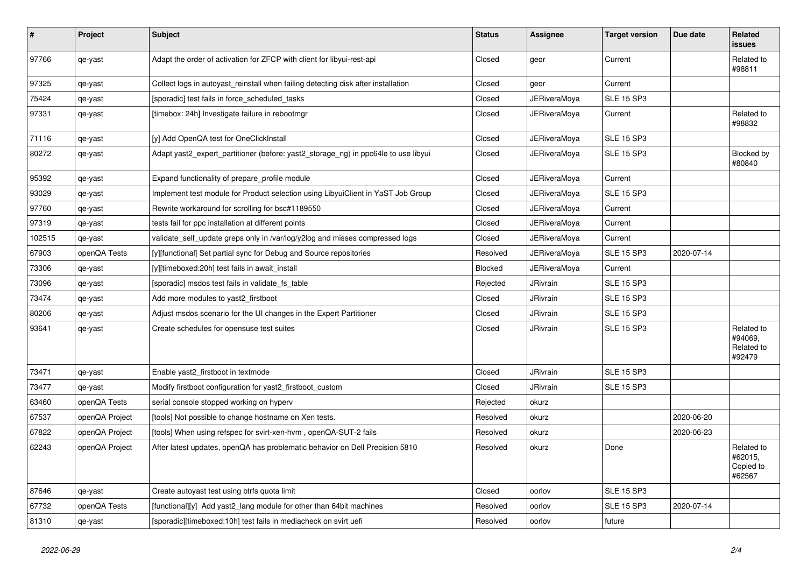| $\pmb{\#}$ | <b>Project</b> | <b>Subject</b>                                                                     | <b>Status</b>  | Assignee            | <b>Target version</b> | Due date   | <b>Related</b><br><b>issues</b>               |
|------------|----------------|------------------------------------------------------------------------------------|----------------|---------------------|-----------------------|------------|-----------------------------------------------|
| 97766      | qe-yast        | Adapt the order of activation for ZFCP with client for libyui-rest-api             | Closed         | geor                | Current               |            | Related to<br>#98811                          |
| 97325      | qe-yast        | Collect logs in autoyast_reinstall when failing detecting disk after installation  | Closed         | geor                | Current               |            |                                               |
| 75424      | qe-yast        | [sporadic] test fails in force_scheduled_tasks                                     | Closed         | <b>JERiveraMoya</b> | <b>SLE 15 SP3</b>     |            |                                               |
| 97331      | qe-yast        | [timebox: 24h] Investigate failure in rebootmgr                                    | Closed         | JERiveraMova        | Current               |            | Related to<br>#98832                          |
| 71116      | qe-yast        | [y] Add OpenQA test for OneClickInstall                                            | Closed         | JERiveraMoya        | <b>SLE 15 SP3</b>     |            |                                               |
| 80272      | qe-yast        | Adapt yast2_expert_partitioner (before: yast2_storage_ng) in ppc64le to use libyui | Closed         | <b>JERiveraMoya</b> | <b>SLE 15 SP3</b>     |            | Blocked by<br>#80840                          |
| 95392      | qe-yast        | Expand functionality of prepare_profile module                                     | Closed         | JERiveraMoya        | Current               |            |                                               |
| 93029      | qe-yast        | Implement test module for Product selection using LibyuiClient in YaST Job Group   | Closed         | <b>JERiveraMoya</b> | <b>SLE 15 SP3</b>     |            |                                               |
| 97760      | qe-yast        | Rewrite workaround for scrolling for bsc#1189550                                   | Closed         | JERiveraMoya        | Current               |            |                                               |
| 97319      | qe-yast        | tests fail for ppc installation at different points                                | Closed         | JERiveraMoya        | Current               |            |                                               |
| 102515     | qe-yast        | validate self update greps only in /var/log/y2log and misses compressed logs       | Closed         | JERiveraMoya        | Current               |            |                                               |
| 67903      | openQA Tests   | [y][functional] Set partial sync for Debug and Source repositories                 | Resolved       | <b>JERiveraMoya</b> | <b>SLE 15 SP3</b>     | 2020-07-14 |                                               |
| 73306      | qe-yast        | [y][timeboxed:20h] test fails in await install                                     | <b>Blocked</b> | <b>JERiveraMoya</b> | Current               |            |                                               |
| 73096      | qe-yast        | [sporadic] msdos test fails in validate fs table                                   | Rejected       | <b>JRivrain</b>     | <b>SLE 15 SP3</b>     |            |                                               |
| 73474      | qe-yast        | Add more modules to yast2_firstboot                                                | Closed         | <b>JRivrain</b>     | <b>SLE 15 SP3</b>     |            |                                               |
| 80206      | qe-yast        | Adjust msdos scenario for the UI changes in the Expert Partitioner                 | Closed         | <b>JRivrain</b>     | <b>SLE 15 SP3</b>     |            |                                               |
| 93641      | qe-yast        | Create schedules for opensuse test suites                                          | Closed         | <b>JRivrain</b>     | <b>SLE 15 SP3</b>     |            | Related to<br>#94069,<br>Related to<br>#92479 |
| 73471      | qe-yast        | Enable yast2_firstboot in textmode                                                 | Closed         | JRivrain            | <b>SLE 15 SP3</b>     |            |                                               |
| 73477      | qe-yast        | Modify firstboot configuration for yast2_firstboot_custom                          | Closed         | <b>JRivrain</b>     | <b>SLE 15 SP3</b>     |            |                                               |
| 63460      | openQA Tests   | serial console stopped working on hyperv                                           | Rejected       | okurz               |                       |            |                                               |
| 67537      | openQA Project | [tools] Not possible to change hostname on Xen tests.                              | Resolved       | okurz               |                       | 2020-06-20 |                                               |
| 67822      | openQA Project | [tools] When using refspec for svirt-xen-hvm, openQA-SUT-2 fails                   | Resolved       | okurz               |                       | 2020-06-23 |                                               |
| 62243      | openQA Project | After latest updates, openQA has problematic behavior on Dell Precision 5810       | Resolved       | okurz               | Done                  |            | Related to<br>#62015,<br>Copied to<br>#62567  |
| 87646      | qe-yast        | Create autoyast test using btrfs quota limit                                       | Closed         | oorlov              | <b>SLE 15 SP3</b>     |            |                                               |
| 67732      | openQA Tests   | [functional][y] Add yast2 lang module for other than 64bit machines                | Resolved       | oorlov              | <b>SLE 15 SP3</b>     | 2020-07-14 |                                               |
| 81310      | qe-yast        | [sporadic][timeboxed:10h] test fails in mediacheck on svirt uefi                   | Resolved       | oorlov              | future                |            |                                               |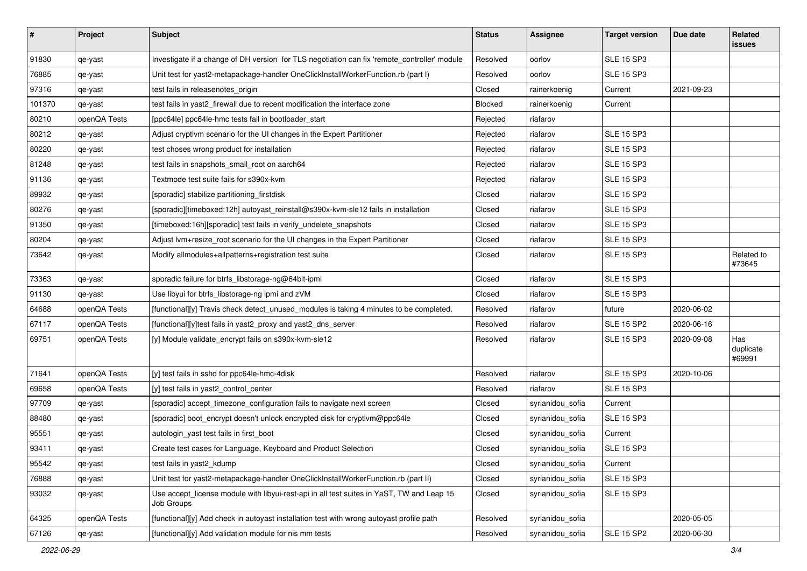| $\#$   | Project      | Subject                                                                                                 | <b>Status</b> | <b>Assignee</b>  | <b>Target version</b> | Due date   | Related<br>issues          |
|--------|--------------|---------------------------------------------------------------------------------------------------------|---------------|------------------|-----------------------|------------|----------------------------|
| 91830  | qe-yast      | Investigate if a change of DH version for TLS negotiation can fix 'remote_controller' module            | Resolved      | oorlov           | <b>SLE 15 SP3</b>     |            |                            |
| 76885  | qe-yast      | Unit test for yast2-metapackage-handler OneClickInstallWorkerFunction.rb (part I)                       | Resolved      | oorlov           | <b>SLE 15 SP3</b>     |            |                            |
| 97316  | qe-yast      | test fails in releasenotes_origin                                                                       | Closed        | rainerkoenig     | Current               | 2021-09-23 |                            |
| 101370 | qe-yast      | test fails in yast2_firewall due to recent modification the interface zone                              | Blocked       | rainerkoenig     | Current               |            |                            |
| 80210  | openQA Tests | [ppc64le] ppc64le-hmc tests fail in bootloader_start                                                    | Rejected      | riafarov         |                       |            |                            |
| 80212  | qe-yast      | Adjust cryptlvm scenario for the UI changes in the Expert Partitioner                                   | Rejected      | riafarov         | <b>SLE 15 SP3</b>     |            |                            |
| 80220  | qe-yast      | test choses wrong product for installation                                                              | Rejected      | riafarov         | <b>SLE 15 SP3</b>     |            |                            |
| 81248  | qe-yast      | test fails in snapshots_small_root on aarch64                                                           | Rejected      | riafarov         | <b>SLE 15 SP3</b>     |            |                            |
| 91136  | qe-yast      | Textmode test suite fails for s390x-kvm                                                                 | Rejected      | riafarov         | <b>SLE 15 SP3</b>     |            |                            |
| 89932  | qe-yast      | [sporadic] stabilize partitioning_firstdisk                                                             | Closed        | riafarov         | <b>SLE 15 SP3</b>     |            |                            |
| 80276  | qe-yast      | [sporadic][timeboxed:12h] autoyast_reinstall@s390x-kvm-sle12 fails in installation                      | Closed        | riafarov         | <b>SLE 15 SP3</b>     |            |                            |
| 91350  | qe-yast      | [timeboxed:16h][sporadic] test fails in verify_undelete_snapshots                                       | Closed        | riafarov         | <b>SLE 15 SP3</b>     |            |                            |
| 80204  | qe-yast      | Adjust lvm+resize_root scenario for the UI changes in the Expert Partitioner                            | Closed        | riafarov         | <b>SLE 15 SP3</b>     |            |                            |
| 73642  | qe-yast      | Modify allmodules+allpatterns+registration test suite                                                   | Closed        | riafarov         | <b>SLE 15 SP3</b>     |            | Related to<br>#73645       |
| 73363  | qe-yast      | sporadic failure for btrfs_libstorage-ng@64bit-ipmi                                                     | Closed        | riafarov         | <b>SLE 15 SP3</b>     |            |                            |
| 91130  | qe-yast      | Use libyui for btrfs_libstorage-ng ipmi and zVM                                                         | Closed        | riafarov         | <b>SLE 15 SP3</b>     |            |                            |
| 64688  | openQA Tests | [functional][y] Travis check detect_unused_modules is taking 4 minutes to be completed.                 | Resolved      | riafarov         | future                | 2020-06-02 |                            |
| 67117  | openQA Tests | [functional][y]test fails in yast2_proxy and yast2_dns_server                                           | Resolved      | riafarov         | <b>SLE 15 SP2</b>     | 2020-06-16 |                            |
| 69751  | openQA Tests | [y] Module validate_encrypt fails on s390x-kvm-sle12                                                    | Resolved      | riafarov         | <b>SLE 15 SP3</b>     | 2020-09-08 | Has<br>duplicate<br>#69991 |
| 71641  | openQA Tests | [y] test fails in sshd for ppc64le-hmc-4disk                                                            | Resolved      | riafarov         | <b>SLE 15 SP3</b>     | 2020-10-06 |                            |
| 69658  | openQA Tests | [y] test fails in yast2_control_center                                                                  | Resolved      | riafarov         | <b>SLE 15 SP3</b>     |            |                            |
| 97709  | qe-yast      | [sporadic] accept_timezone_configuration fails to navigate next screen                                  | Closed        | syrianidou_sofia | Current               |            |                            |
| 88480  | qe-yast      | [sporadic] boot_encrypt doesn't unlock encrypted disk for cryptlym@ppc64le                              | Closed        | syrianidou_sofia | <b>SLE 15 SP3</b>     |            |                            |
| 95551  | qe-yast      | autologin_yast test fails in first_boot                                                                 | Closed        | syrianidou_sofia | Current               |            |                            |
| 93411  | qe-yast      | Create test cases for Language, Keyboard and Product Selection                                          | Closed        | syrianidou_sofia | <b>SLE 15 SP3</b>     |            |                            |
| 95542  | qe-yast      | test fails in yast2_kdump                                                                               | Closed        | syrianidou_sofia | Current               |            |                            |
| 76888  | qe-yast      | Unit test for yast2-metapackage-handler OneClickInstallWorkerFunction.rb (part II)                      | Closed        | syrianidou_sofia | <b>SLE 15 SP3</b>     |            |                            |
| 93032  | qe-yast      | Use accept_license module with libyui-rest-api in all test suites in YaST, TW and Leap 15<br>Job Groups | Closed        | syrianidou_sofia | <b>SLE 15 SP3</b>     |            |                            |
| 64325  | openQA Tests | [functional][y] Add check in autoyast installation test with wrong autoyast profile path                | Resolved      | syrianidou_sofia |                       | 2020-05-05 |                            |
| 67126  | qe-yast      | [functional][y] Add validation module for nis mm tests                                                  | Resolved      | syrianidou_sofia | <b>SLE 15 SP2</b>     | 2020-06-30 |                            |